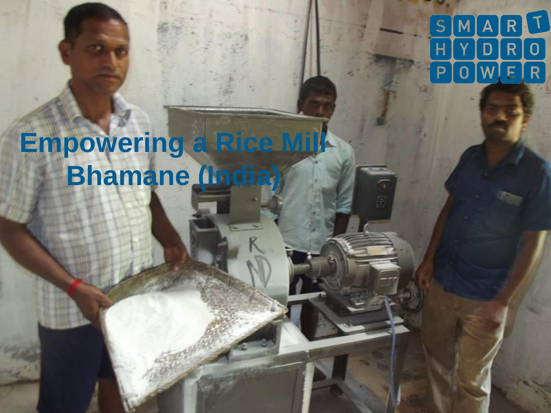#### $S$  $\overline{\mathsf{A}}$ R  $\overline{0}$ D R P E R

# **Empowering a Rice Mill Bhamane (India)**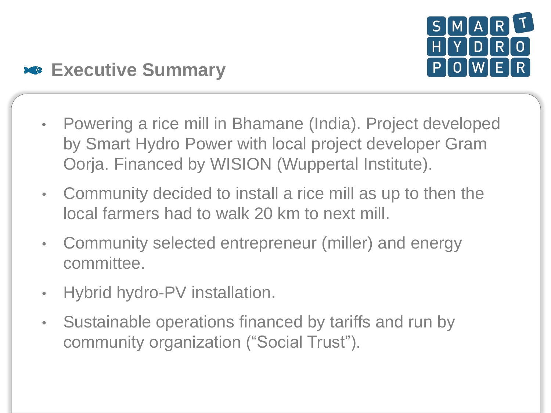

#### **Executive Summary**

- Powering a rice mill in Bhamane (India). Project developed by Smart Hydro Power with local project developer Gram Oorja. Financed by WISION (Wuppertal Institute).
- Community decided to install a rice mill as up to then the local farmers had to walk 20 km to next mill.
- Community selected entrepreneur (miller) and energy committee.
- Hybrid hydro-PV installation.
- Sustainable operations financed by tariffs and run by community organization ("Social Trust").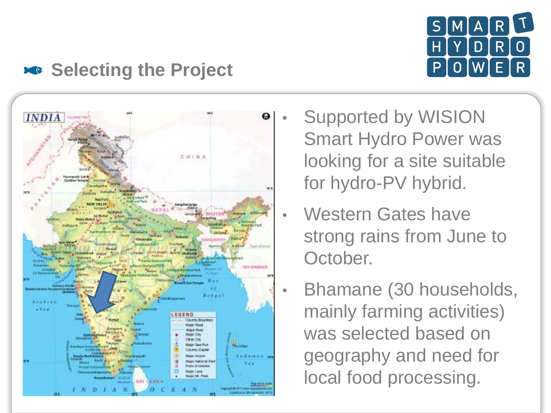

#### **Selecting the Project**



- Supported by WISION Smart Hydro Power was looking for a site suitable for hydro-PV hybrid.
- Western Gates have strong rains from June to October.
	- Bhamane (30 households, mainly farming activities) was selected based on geography and need for local food processing.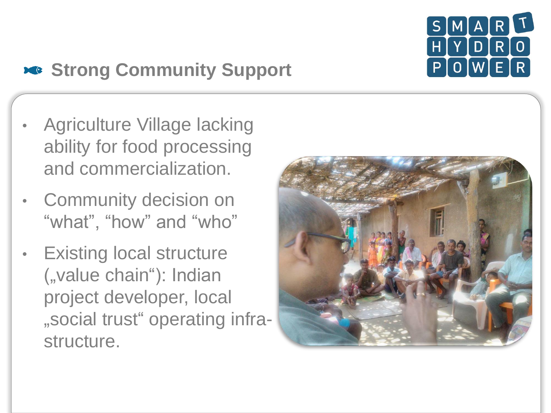

# **Strong Community Support**

- Agriculture Village lacking ability for food processing and commercialization.
- **Community decision on** "what", "how" and "who"
- **Existing local structure** ("value chain"): Indian project developer, local "social trust" operating infrastructure.

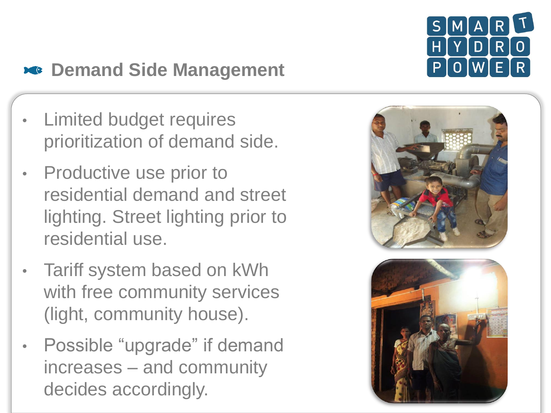

# **External Side Management**

- Limited budget requires prioritization of demand side.
- **Productive use prior to** residential demand and street lighting. Street lighting prior to residential use.
- Tariff system based on kWh with free community services (light, community house).
- Possible "upgrade" if demand increases – and community decides accordingly.

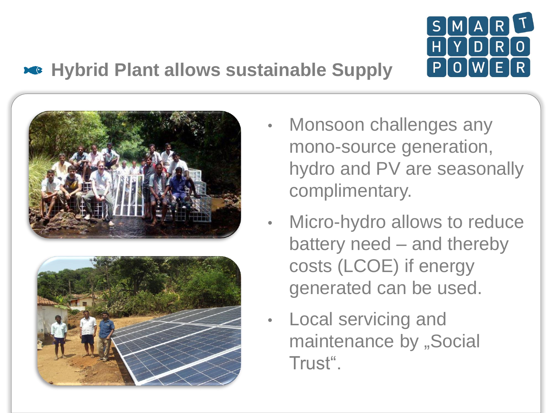

### **Hybrid Plant allows sustainable Supply**





- Monsoon challenges any mono-source generation, hydro and PV are seasonally complimentary.
- Micro-hydro allows to reduce battery need – and thereby costs (LCOE) if energy generated can be used.
- Local servicing and maintenance by "Social Trust".